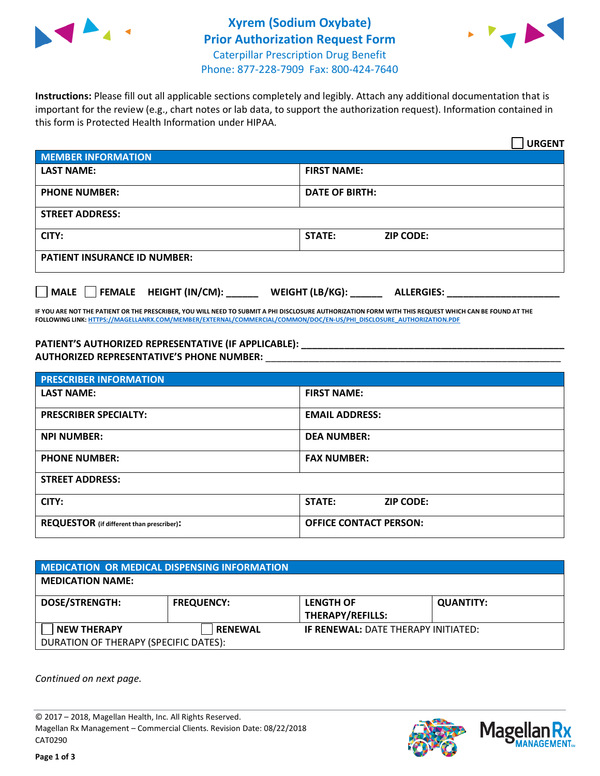



**Instructions:** Please fill out all applicable sections completely and legibly. Attach any additional documentation that is important for the review (e.g., chart notes or lab data, to support the authorization request). Information contained in this form is Protected Health Information under HIPAA.

|                                       | <b>URGENT</b>                        |  |  |  |
|---------------------------------------|--------------------------------------|--|--|--|
| <b>MEMBER INFORMATION</b>             |                                      |  |  |  |
| <b>LAST NAME:</b>                     | <b>FIRST NAME:</b>                   |  |  |  |
| <b>PHONE NUMBER:</b>                  | <b>DATE OF BIRTH:</b>                |  |  |  |
| <b>STREET ADDRESS:</b>                |                                      |  |  |  |
| CITY:                                 | STATE:<br><b>ZIP CODE:</b>           |  |  |  |
| <b>PATIENT INSURANCE ID NUMBER:</b>   |                                      |  |  |  |
| FEMALE HEIGHT (IN/CM):<br><b>MALE</b> | WEIGHT (LB/KG):<br><b>ALLERGIES:</b> |  |  |  |

**IF YOU ARE NOT THE PATIENT OR THE PRESCRIBER, YOU WILL NEED TO SUBMIT A PHI DISCLOSURE AUTHORIZATION FORM WITH THIS REQUEST WHICH CAN BE FOUND AT THE FOLLOWING LINK[: HTTPS://MAGELLANRX.COM/MEMBER/EXTERNAL/COMMERCIAL/COMMON/DOC/EN-US/PHI\\_DISCLOSURE\\_AUTHORIZATION.PDF](https://magellanrx.com/member/external/commercial/common/doc/en-us/PHI_Disclosure_Authorization.pdf)**

**PATIENT'S AUTHORIZED REPRESENTATIVE (IF APPLICABLE): \_\_\_\_\_\_\_\_\_\_\_\_\_\_\_\_\_\_\_\_\_\_\_\_\_\_\_\_\_\_\_\_\_\_\_\_\_\_\_\_\_\_\_\_\_\_\_\_\_ AUTHORIZED REPRESENTATIVE'S PHONE NUMBER:** \_\_\_\_\_\_\_\_\_\_\_\_\_\_\_\_\_\_\_\_\_\_\_\_\_\_\_\_\_\_\_\_\_\_\_\_\_\_\_\_\_\_\_\_\_\_\_\_\_\_\_\_\_\_\_

| <b>PRESCRIBER INFORMATION</b>             |                               |  |  |  |
|-------------------------------------------|-------------------------------|--|--|--|
| <b>LAST NAME:</b>                         | <b>FIRST NAME:</b>            |  |  |  |
| <b>PRESCRIBER SPECIALTY:</b>              | <b>EMAIL ADDRESS:</b>         |  |  |  |
| <b>NPI NUMBER:</b>                        | <b>DEA NUMBER:</b>            |  |  |  |
| <b>PHONE NUMBER:</b>                      | <b>FAX NUMBER:</b>            |  |  |  |
| <b>STREET ADDRESS:</b>                    |                               |  |  |  |
| CITY:                                     | STATE:<br><b>ZIP CODE:</b>    |  |  |  |
| REQUESTOR (if different than prescriber): | <b>OFFICE CONTACT PERSON:</b> |  |  |  |

| <b>MEDICATION OR MEDICAL DISPENSING INFORMATION</b> |                   |                                            |                  |  |  |
|-----------------------------------------------------|-------------------|--------------------------------------------|------------------|--|--|
| <b>MEDICATION NAME:</b>                             |                   |                                            |                  |  |  |
| <b>DOSE/STRENGTH:</b>                               | <b>FREQUENCY:</b> | <b>LENGTH OF</b>                           | <b>QUANTITY:</b> |  |  |
|                                                     |                   | <b>THERAPY/REFILLS:</b>                    |                  |  |  |
| <b>NEW THERAPY</b>                                  | <b>RENEWAL</b>    | <b>IF RENEWAL: DATE THERAPY INITIATED:</b> |                  |  |  |
| DURATION OF THERAPY (SPECIFIC DATES):               |                   |                                            |                  |  |  |

*Continued on next page.*

© 2017 – 2018, Magellan Health, Inc. All Rights Reserved. Magellan Rx Management – Commercial Clients. Revision Date: 08/22/2018 CAT0290



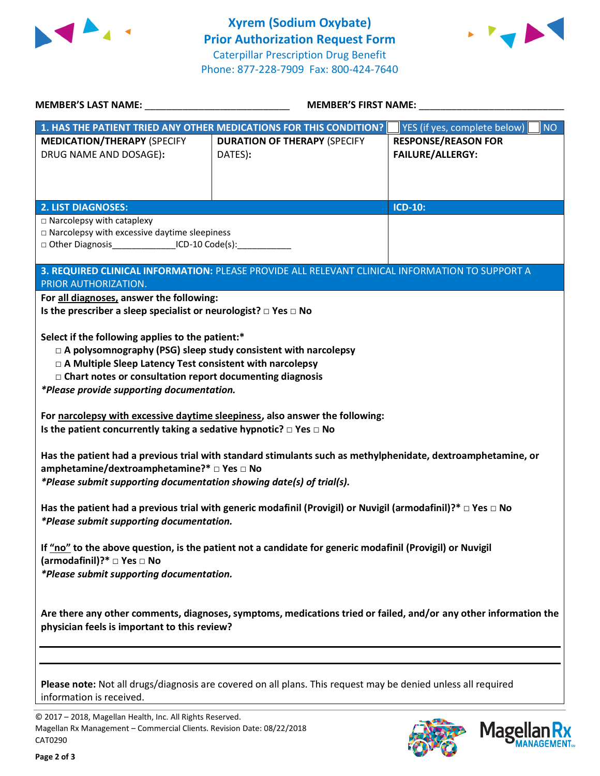



| <b>MEMBER'S LAST NAME:</b> NAME                                                                                                                                                                                                                                                                         | <b>MEMBER'S FIRST NAME:</b>                                                                                          |                                                                                                    |  |  |  |
|---------------------------------------------------------------------------------------------------------------------------------------------------------------------------------------------------------------------------------------------------------------------------------------------------------|----------------------------------------------------------------------------------------------------------------------|----------------------------------------------------------------------------------------------------|--|--|--|
| <b>MEDICATION/THERAPY (SPECIFY</b><br>DRUG NAME AND DOSAGE):                                                                                                                                                                                                                                            | 1. HAS THE PATIENT TRIED ANY OTHER MEDICATIONS FOR THIS CONDITION?<br><b>DURATION OF THERAPY (SPECIFY</b><br>DATES): | YES (if yes, complete below)<br><b>NO</b><br><b>RESPONSE/REASON FOR</b><br><b>FAILURE/ALLERGY:</b> |  |  |  |
| <b>2. LIST DIAGNOSES:</b>                                                                                                                                                                                                                                                                               |                                                                                                                      | <b>ICD-10:</b>                                                                                     |  |  |  |
| $\Box$ Narcolepsy with cataplexy<br>$\square$ Narcolepsy with excessive daytime sleepiness<br>□ Other Diagnosis________________ICD-10 Code(s):_____________                                                                                                                                             |                                                                                                                      |                                                                                                    |  |  |  |
|                                                                                                                                                                                                                                                                                                         | 3. REQUIRED CLINICAL INFORMATION: PLEASE PROVIDE ALL RELEVANT CLINICAL INFORMATION TO SUPPORT A                      |                                                                                                    |  |  |  |
| PRIOR AUTHORIZATION.<br>For all diagnoses, answer the following:<br>Is the prescriber a sleep specialist or neurologist? $\square$ Yes $\square$ No                                                                                                                                                     |                                                                                                                      |                                                                                                    |  |  |  |
| Select if the following applies to the patient:*<br>$\Box$ A polysomnography (PSG) sleep study consistent with narcolepsy<br>□ A Multiple Sleep Latency Test consistent with narcolepsy<br>$\Box$ Chart notes or consultation report documenting diagnosis<br>*Please provide supporting documentation. |                                                                                                                      |                                                                                                    |  |  |  |
| For narcolepsy with excessive daytime sleepiness, also answer the following:<br>Is the patient concurrently taking a sedative hypnotic? $\Box$ Yes $\Box$ No                                                                                                                                            |                                                                                                                      |                                                                                                    |  |  |  |
| Has the patient had a previous trial with standard stimulants such as methylphenidate, dextroamphetamine, or<br>amphetamine/dextroamphetamine?* $\Box$ Yes $\Box$ No<br>*Please submit supporting documentation showing date(s) of trial(s).                                                            |                                                                                                                      |                                                                                                    |  |  |  |
| Has the patient had a previous trial with generic modafinil (Provigil) or Nuvigil (armodafinil)?* $\Box$ Yes $\Box$ No<br>*Please submit supporting documentation.                                                                                                                                      |                                                                                                                      |                                                                                                    |  |  |  |
| If "no" to the above question, is the patient not a candidate for generic modafinil (Provigil) or Nuvigil<br>(armodafinil)?* □ Yes □ No<br>*Please submit supporting documentation.                                                                                                                     |                                                                                                                      |                                                                                                    |  |  |  |
| Are there any other comments, diagnoses, symptoms, medications tried or failed, and/or any other information the<br>physician feels is important to this review?                                                                                                                                        |                                                                                                                      |                                                                                                    |  |  |  |
|                                                                                                                                                                                                                                                                                                         |                                                                                                                      |                                                                                                    |  |  |  |
| information is received.                                                                                                                                                                                                                                                                                | Please note: Not all drugs/diagnosis are covered on all plans. This request may be denied unless all required        |                                                                                                    |  |  |  |
| © 2017 - 2018, Magellan Health, Inc. All Rights Reserved.                                                                                                                                                                                                                                               |                                                                                                                      |                                                                                                    |  |  |  |

CAT0290

Magellan Rx Management – Commercial Clients. Revision Date: 08/22/2018



Mage

**Rx ANAGEMENT**<sub>SM</sub>